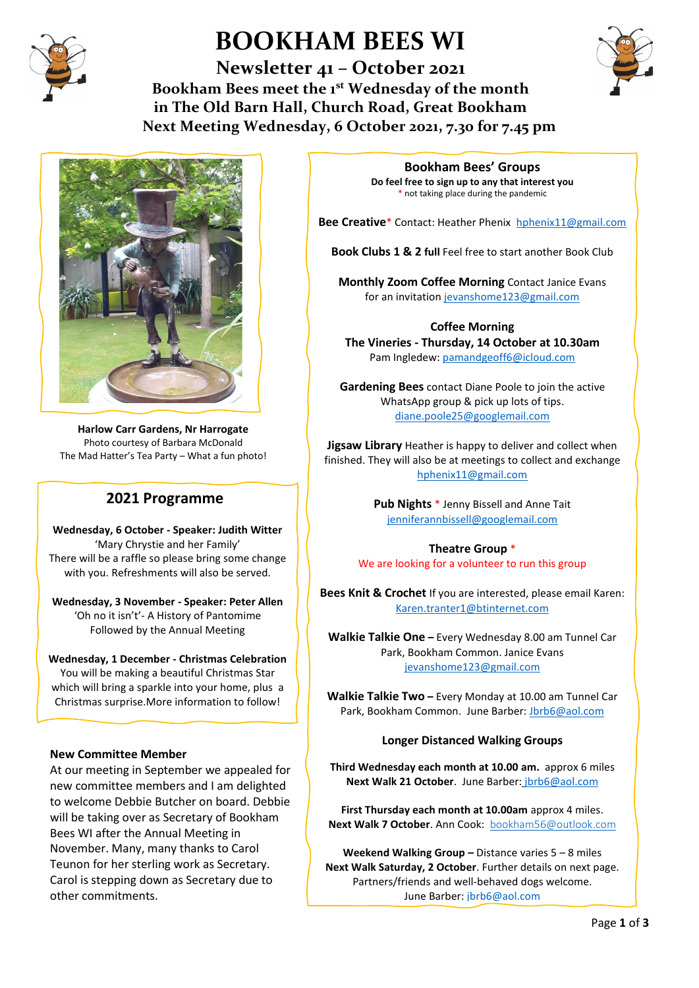

# **BOOKHAM BEES WI**

**Newsletter 41 – October 2021 Bookham Bees meet the 1st Wednesday of the month in The Old Barn Hall, Church Road, Great Bookham Next Meeting Wednesday, 6 October 2021, 7.30 for 7.45 pm**





**Harlow Carr Gardens, Nr Harrogate** Photo courtesy of Barbara McDonald The Mad Hatter's Tea Party – What a fun photo!

#### **2021 Programme**

**Wednesday, 6 October - Speaker: Judith Witter** 'Mary Chrystie and her Family' There will be a raffle so please bring some change with you. Refreshments will also be served.

**Wednesday, 3 November - Speaker: Peter Allen** 'Oh no it isn't'- A History of Pantomime Followed by the Annual Meeting

#### **Wednesday, 1 December - Christmas Celebration** You will be making a beautiful Christmas Star which will bring a sparkle into your home, plus a

Christmas surprise.More information to follow!

#### **New Committee Member**

At our meeting in September we appealed for new committee members and I am delighted to welcome Debbie Butcher on board. Debbie will be taking over as Secretary of Bookham Bees WI after the Annual Meeting in November. Many, many thanks to Carol Teunon for her sterling work as Secretary. Carol is stepping down as Secretary due to other commitments.

**Bookham Bees' Groups Do feel free to sign up to any that interest you** \* not taking place during the pandemic

**Bee Creative**\* Contact: Heather Phenix [hphenix11@gmail.com](mailto:hphenix11@gmail.com)

**Book Clubs 1 & 2 full** Feel free to start another Book Club

**Monthly Zoom Coffee Morning** Contact Janice Evans for an invitatio[n jevanshome123@gmail.com](mailto:jevanshome123@gmail.com)

**Coffee Morning The Vineries - Thursday, 14 October at 10.30am** Pam Ingledew: [pamandgeoff6@icloud.com](mailto:pamandgeoff6@icloud.com)

**Gardening Bees** contact Diane Poole to join the active WhatsApp group & pick up lots of tips. [diane.poole25@googlemail.com](mailto:diane.poole25@googlemail.com)

**Jigsaw Library** Heather is happy to deliver and collect when finished. They will also be at meetings to collect and exchange [hphenix11@gmail.com](mailto:hphenix11@gmail.com)

> **Pub Nights** \* Jenny Bissell and Anne Tait [jenniferannbissell@googlemail.com](mailto:jenniferannbissell@googlemail.com)

**Theatre Group** \* We are looking for a volunteer to run this group

**Bees Knit & Crochet** If you are interested, please email Karen: [Karen.tranter1@btinternet.com](mailto:Karen.tranter1@btinternet.com)

**Walkie Talkie One –** Every Wednesday 8.00 am Tunnel Car Park, Bookham Common. Janice Evans [jevanshome123@gmail.com](mailto:jevanshome123@gmail.com)

**Walkie Talkie Two –** Every Monday at 10.00 am Tunnel Car Park, Bookham Common. June Barber: [Jbrb6@aol.com](mailto:Jbrb6@aol.com)

#### **Longer Distanced Walking Groups**

**Third Wednesday each month at 10.00 am.** approx 6 miles **Next Walk 21 October**. June Barber: [jbrb6@aol.com](mailto:jbrb6@aol.com)

**First Thursday each month at 10.00am** approx 4 miles. **Next Walk 7 October**. Ann Cook: [bookham56@outlook.com](mailto:bookham56@outlook.com)

**Weekend Walking Group –** Distance varies 5 – 8 miles **Next Walk Saturday, 2 October**. Further details on next page. Partners/friends and well-behaved dogs welcome. June Barber: [jbrb6@aol.com](mailto:jbrb6@aol.com)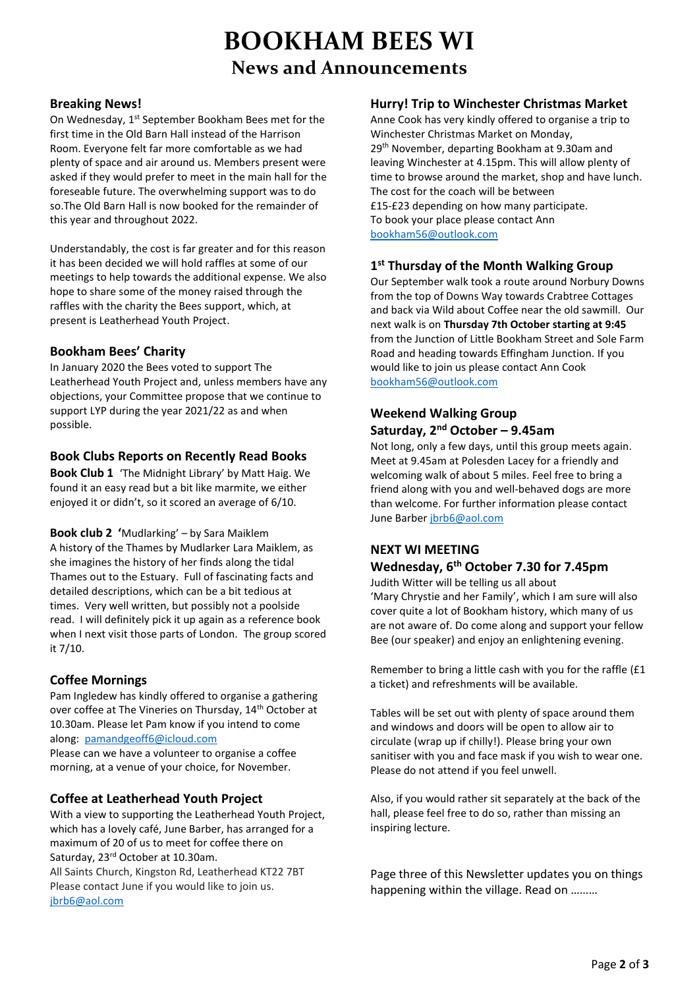## **BOOKHAM BEES WI News and Announcements**

#### **Breaking News!**

On Wednesday, 1st September Bookham Bees met for the first time in the Old Barn Hall instead of the Harrison Room. Everyone felt far more comfortable as we had plenty of space and air around us. Members present were asked if they would prefer to meet in the main hall for the foreseable future. The overwhelming support was to do so.The Old Barn Hall is now booked for the remainder of this year and throughout 2022.

Understandably, the cost is far greater and for this reason it has been decided we will hold raffles at some of our meetings to help towards the additional expense. We also hope to share some of the money raised through the raffles with the charity the Bees support, which, at present is Leatherhead Youth Project.

#### **Bookham Bees' Charity**

In January 2020 the Bees voted to support The Leatherhead Youth Project and, unless members have any objections, your Committee propose that we continue to support LYP during the year 2021/22 as and when possible.

#### **Book Clubs Reports on Recently Read Books**

**Book Club 1** 'The Midnight Library' by Matt Haig. We found it an easy read but a bit like marmite, we either enjoyed it or didn't, so it scored an average of 6/10.

**Book club 2 '**Mudlarking' – by Sara Maiklem A history of the Thames by Mudlarker Lara Maiklem, as she imagines the history of her finds along the tidal Thames out to the Estuary. Full of fascinating facts and detailed descriptions, which can be a bit tedious at times. Very well written, but possibly not a poolside read. I will definitely pick it up again as a reference book when I next visit those parts of London. The group scored it 7/10.

#### **Coffee Mornings**

Pam Ingledew has kindly offered to organise a gathering over coffee at The Vineries on Thursday, 14<sup>th</sup> October at 10.30am. Please let Pam know if you intend to come along: [pamandgeoff6@icloud.com](mailto:pamandgeoff6@icloud.com)

Please can we have a volunteer to organise a coffee morning, at a venue of your choice, for November.

#### **Coffee at Leatherhead Youth Project**

With a view to supporting the Leatherhead Youth Project, which has a lovely café, June Barber, has arranged for a maximum of 20 of us to meet for coffee there on Saturday, 23rd October at 10.30am. All Saints Church, Kingston Rd, Leatherhead KT22 7BT Please contact June if you would like to join us. [jbrb6@aol.com](mailto:jbrb6@aol.com)

#### **Hurry! Trip to Winchester Christmas Market**

Anne Cook has very kindly offered to organise a trip to Winchester Christmas Market on Monday, 29<sup>th</sup> November, departing Bookham at 9.30am and leaving Winchester at 4.15pm. This will allow plenty of time to browse around the market, shop and have lunch. The cost for the coach will be between £15-£23 depending on how many participate. To book your place please contact Ann [bookham56@outlook.com](mailto:bookham56@outlook.com)

#### **1 st Thursday of the Month Walking Group**

Our September walk took a route around Norbury Downs from the top of Downs Way towards Crabtree Cottages and back via Wild about Coffee near the old sawmill. Our next walk is on **Thursday 7th October starting at 9:45** from the Junction of Little Bookham Street and Sole Farm Road and heading towards Effingham Junction. If you would like to join us please contact Ann Cook [bookham56@outlook.com](mailto:bookham56@outlook.com) 

#### **Weekend Walking Group Saturday, 2nd October – 9.45am**

Not long, only a few days, until this group meets again. Meet at 9.45am at Polesden Lacey for a friendly and welcoming walk of about 5 miles. Feel free to bring a friend along with you and well-behaved dogs are more than welcome. For further information please contact June Barber [jbrb6@aol.com](mailto:jbrb6@aol.com)

#### **NEXT WI MEETING**

### **Wednesday, 6th October 7.30 for 7.45pm**

Judith Witter will be telling us all about 'Mary Chrystie and her Family', which I am sure will also cover quite a lot of Bookham history, which many of us are not aware of. Do come along and support your fellow Bee (our speaker) and enjoy an enlightening evening.

Remember to bring a little cash with you for the raffle (£1 a ticket) and refreshments will be available.

Tables will be set out with plenty of space around them and windows and doors will be open to allow air to circulate (wrap up if chilly!). Please bring your own sanitiser with you and face mask if you wish to wear one. Please do not attend if you feel unwell.

Also, if you would rather sit separately at the back of the hall, please feel free to do so, rather than missing an inspiring lecture.

Page three of this Newsletter updates you on things happening within the village. Read on ………